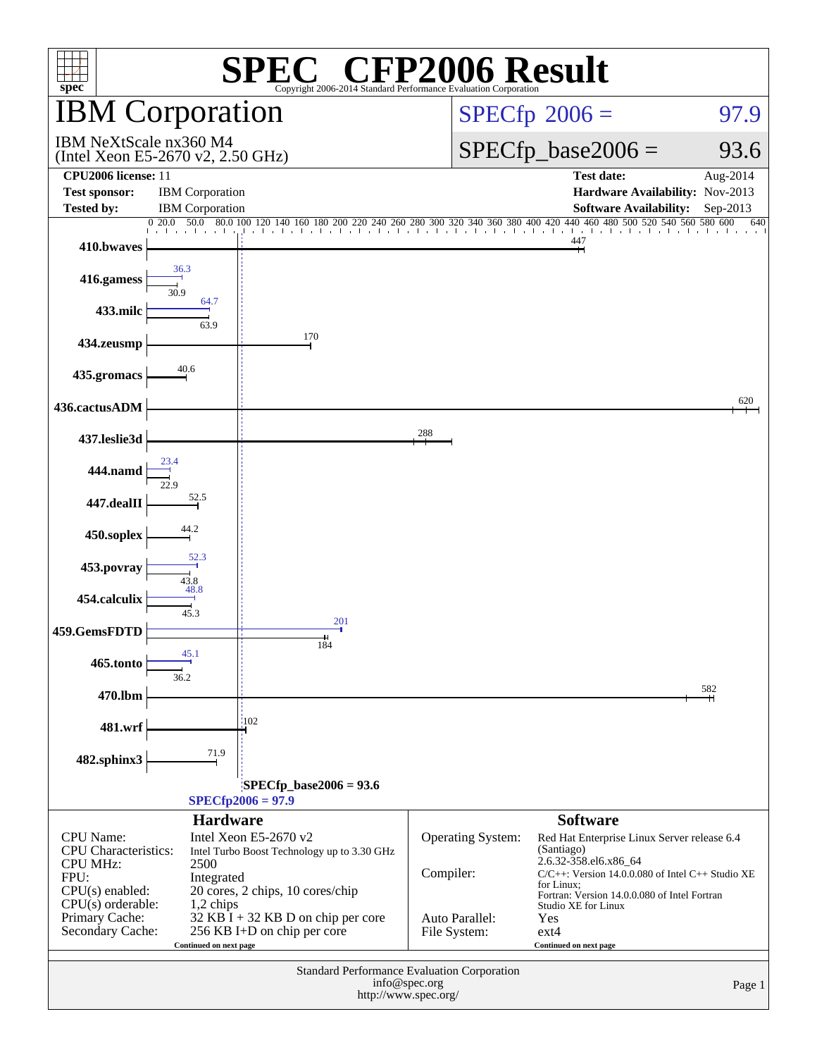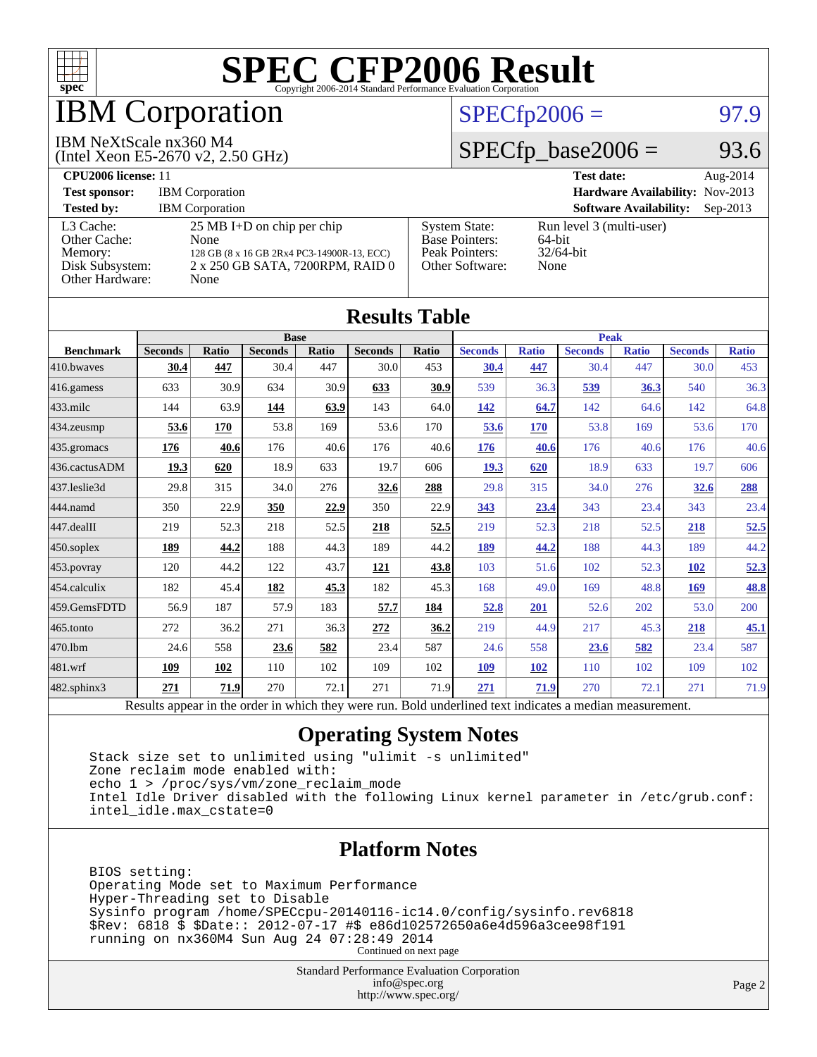

## IBM Corporation

#### IBM NeXtScale nx360 M4

(Intel Xeon E5-2670 v2, 2.50 GHz)

#### $SPECTp2006 = 97.9$

### $SPECTp\_base2006 = 93.6$

| <b>CPU2006 license: 11</b>                                                 |                                                                                                                                        |                                                                                    | <b>Test date:</b><br>Aug- $2014$                           |
|----------------------------------------------------------------------------|----------------------------------------------------------------------------------------------------------------------------------------|------------------------------------------------------------------------------------|------------------------------------------------------------|
| <b>Test sponsor:</b>                                                       | <b>IBM</b> Corporation                                                                                                                 | Hardware Availability: Nov-2013                                                    |                                                            |
| <b>Tested by:</b>                                                          | <b>IBM</b> Corporation                                                                                                                 |                                                                                    | <b>Software Availability:</b><br>$Sep-2013$                |
| L3 Cache:<br>Other Cache:<br>Memory:<br>Disk Subsystem:<br>Other Hardware: | $25 \text{ MB I+D}$ on chip per chip<br>None<br>128 GB (8 x 16 GB 2Rx4 PC3-14900R-13, ECC)<br>2 x 250 GB SATA, 7200RPM, RAID 0<br>None | <b>System State:</b><br><b>Base Pointers:</b><br>Peak Pointers:<br>Other Software: | Run level 3 (multi-user)<br>64-bit<br>$32/64$ -bit<br>None |

| <b>Results Table</b>   |                                                                                                          |              |                |       |                |       |                |              |                |              |                |              |
|------------------------|----------------------------------------------------------------------------------------------------------|--------------|----------------|-------|----------------|-------|----------------|--------------|----------------|--------------|----------------|--------------|
|                        | <b>Base</b>                                                                                              |              |                |       | <b>Peak</b>    |       |                |              |                |              |                |              |
| <b>Benchmark</b>       | <b>Seconds</b>                                                                                           | <b>Ratio</b> | <b>Seconds</b> | Ratio | <b>Seconds</b> | Ratio | <b>Seconds</b> | <b>Ratio</b> | <b>Seconds</b> | <b>Ratio</b> | <b>Seconds</b> | <b>Ratio</b> |
| 410.bwayes             | 30.4                                                                                                     | 447          | 30.4           | 447   | 30.0           | 453   | 30.4           | 447          | 30.4           | 447          | 30.0           | 453          |
| $416$ .gamess          | 633                                                                                                      | 30.9         | 634            | 30.9  | 633            | 30.9  | 539            | 36.3         | 539            | 36.3         | 540            | 36.3         |
| $433$ .milc            | 144                                                                                                      | 63.9         | 144            | 63.9  | 143            | 64.0  | 142            | 64.7         | 142            | 64.6         | 142            | 64.8         |
| 434.zeusmp             | 53.6                                                                                                     | 170          | 53.8           | 169   | 53.6           | 170   | 53.6           | 170          | 53.8           | 169          | 53.6           | 170          |
| $435.$ gromacs         | 176                                                                                                      | 40.6         | 176            | 40.6  | 176            | 40.6  | 176            | 40.6         | 176            | 40.6         | 176            | 40.6         |
| 436.cactusADM          | 19.3                                                                                                     | 620          | 18.9           | 633   | 19.7           | 606   | 19.3           | 620          | 18.9           | 633          | 19.7           | 606          |
| 437.leslie3d           | 29.8                                                                                                     | 315          | 34.0           | 276   | 32.6           | 288   | 29.8           | 315          | 34.0           | 276          | 32.6           | <u>288</u>   |
| 444.namd               | 350                                                                                                      | 22.9         | 350            | 22.9  | 350            | 22.9  | 343            | 23.4         | 343            | 23.4         | 343            | 23.4         |
| $ 447 \text{.}$ dealII | 219                                                                                                      | 52.3         | 218            | 52.5  | 218            | 52.5  | 219            | 52.3         | 218            | 52.5         | 218            | 52.5         |
| $450$ .soplex          | 189                                                                                                      | 44.2         | 188            | 44.3  | 189            | 44.2  | 189            | 44.2         | 188            | 44.3         | 189            | 44.2         |
| $453$ .povray          | 120                                                                                                      | 44.2         | 122            | 43.7  | 121            | 43.8  | 103            | 51.6         | 102            | 52.3         | 102            | 52.3         |
| $ 454$ .calculix       | 182                                                                                                      | 45.4         | 182            | 45.3  | 182            | 45.3  | 168            | 49.0         | 169            | 48.8         | 169            | 48.8         |
| 459.GemsFDTD           | 56.9                                                                                                     | 187          | 57.9           | 183   | 57.7           | 184   | 52.8           | 201          | 52.6           | 202          | 53.0           | 200          |
| $465$ .tonto           | 272                                                                                                      | 36.2         | 271            | 36.3  | 272            | 36.2  | 219            | 44.9         | 217            | 45.3         | 218            | 45.1         |
| 470.1bm                | 24.6                                                                                                     | 558          | 23.6           | 582   | 23.4           | 587   | 24.6           | 558          | 23.6           | 582          | 23.4           | 587          |
| $ 481$ .wrf            | 109                                                                                                      | 102          | 110            | 102   | 109            | 102   | 109            | <b>102</b>   | 110            | 102          | 109            | 102          |
| $482$ .sphinx $3$      | 271                                                                                                      | 71.9         | 270            | 72.1  | 271            | 71.9  | 271            | 71.9         | 270            | 72.1         | 271            | 71.9         |
|                        | Results appear in the order in which they were run. Bold underlined text indicates a median measurement. |              |                |       |                |       |                |              |                |              |                |              |

#### **[Operating System Notes](http://www.spec.org/auto/cpu2006/Docs/result-fields.html#OperatingSystemNotes)**

 Stack size set to unlimited using "ulimit -s unlimited" Zone reclaim mode enabled with: echo 1 > /proc/sys/vm/zone\_reclaim\_mode Intel Idle Driver disabled with the following Linux kernel parameter in /etc/grub.conf: intel\_idle.max\_cstate=0

#### **[Platform Notes](http://www.spec.org/auto/cpu2006/Docs/result-fields.html#PlatformNotes)**

 BIOS setting: Operating Mode set to Maximum Performance Hyper-Threading set to Disable Sysinfo program /home/SPECcpu-20140116-ic14.0/config/sysinfo.rev6818 \$Rev: 6818 \$ \$Date:: 2012-07-17 #\$ e86d102572650a6e4d596a3cee98f191 running on nx360M4 Sun Aug 24 07:28:49 2014 Continued on next page

> Standard Performance Evaluation Corporation [info@spec.org](mailto:info@spec.org) <http://www.spec.org/>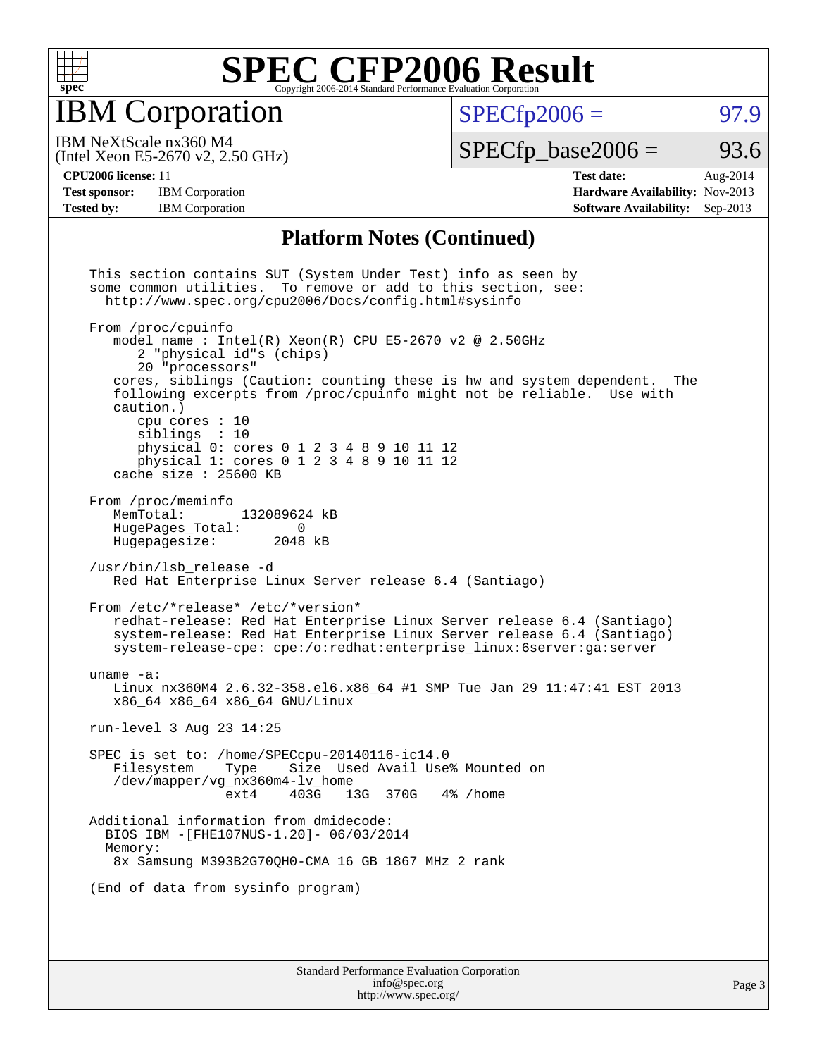

IBM Corporation

 $SPECTp2006 = 97.9$ 

(Intel Xeon E5-2670 v2, 2.50 GHz) IBM NeXtScale nx360 M4

 $SPECTp\_base2006 = 93.6$ 

**[Test sponsor:](http://www.spec.org/auto/cpu2006/Docs/result-fields.html#Testsponsor)** IBM Corporation **[Hardware Availability:](http://www.spec.org/auto/cpu2006/Docs/result-fields.html#HardwareAvailability)** Nov-2013 **[Tested by:](http://www.spec.org/auto/cpu2006/Docs/result-fields.html#Testedby)** IBM Corporation **[Software Availability:](http://www.spec.org/auto/cpu2006/Docs/result-fields.html#SoftwareAvailability)** Sep-2013

**[CPU2006 license:](http://www.spec.org/auto/cpu2006/Docs/result-fields.html#CPU2006license)** 11 **[Test date:](http://www.spec.org/auto/cpu2006/Docs/result-fields.html#Testdate)** Aug-2014

#### **[Platform Notes \(Continued\)](http://www.spec.org/auto/cpu2006/Docs/result-fields.html#PlatformNotes)**

 This section contains SUT (System Under Test) info as seen by some common utilities. To remove or add to this section, see: <http://www.spec.org/cpu2006/Docs/config.html#sysinfo> From /proc/cpuinfo model name : Intel $(R)$  Xeon $(R)$  CPU E5-2670 v2 @ 2.50GHz 2 "physical id"s (chips) 20 "processors" cores, siblings (Caution: counting these is hw and system dependent. The following excerpts from /proc/cpuinfo might not be reliable. Use with caution.) cpu cores : 10 siblings : 10 physical 0: cores 0 1 2 3 4 8 9 10 11 12 physical 1: cores 0 1 2 3 4 8 9 10 11 12 cache size : 25600 KB From /proc/meminfo<br>MemTotal: 132089624 kB HugePages\_Total: 0<br>Hugepagesize: 2048 kB Hugepagesize: /usr/bin/lsb\_release -d Red Hat Enterprise Linux Server release 6.4 (Santiago) From /etc/\*release\* /etc/\*version\* redhat-release: Red Hat Enterprise Linux Server release 6.4 (Santiago) system-release: Red Hat Enterprise Linux Server release 6.4 (Santiago) system-release-cpe: cpe:/o:redhat:enterprise\_linux:6server:ga:server uname -a: Linux nx360M4 2.6.32-358.el6.x86\_64 #1 SMP Tue Jan 29 11:47:41 EST 2013 x86\_64 x86\_64 x86\_64 GNU/Linux run-level 3 Aug 23 14:25 SPEC is set to: /home/SPECcpu-20140116-ic14.0 Size Used Avail Use% Mounted on /dev/mapper/vg\_nx360m4-lv\_home ext4 403G 13G 370G 4% /home Additional information from dmidecode: BIOS IBM -[FHE107NUS-1.20]- 06/03/2014 Memory: 8x Samsung M393B2G70QH0-CMA 16 GB 1867 MHz 2 rank (End of data from sysinfo program)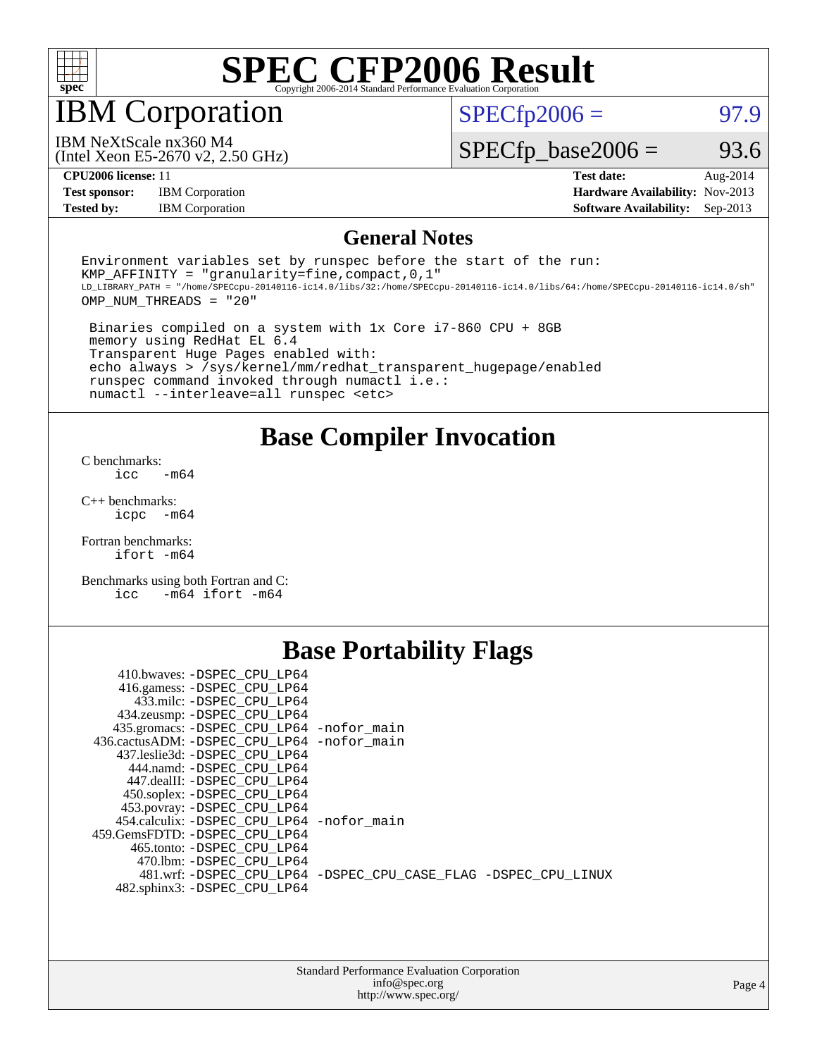

## IBM Corporation

 $SPECTp2006 = 97.9$ 

(Intel Xeon E5-2670 v2, 2.50 GHz) IBM NeXtScale nx360 M4

 $SPECfp\_base2006 = 93.6$ 

**[Test sponsor:](http://www.spec.org/auto/cpu2006/Docs/result-fields.html#Testsponsor)** IBM Corporation **[Hardware Availability:](http://www.spec.org/auto/cpu2006/Docs/result-fields.html#HardwareAvailability)** Nov-2013

**[CPU2006 license:](http://www.spec.org/auto/cpu2006/Docs/result-fields.html#CPU2006license)** 11 **[Test date:](http://www.spec.org/auto/cpu2006/Docs/result-fields.html#Testdate)** Aug-2014 **[Tested by:](http://www.spec.org/auto/cpu2006/Docs/result-fields.html#Testedby)** IBM Corporation **[Software Availability:](http://www.spec.org/auto/cpu2006/Docs/result-fields.html#SoftwareAvailability)** Sep-2013

#### **[General Notes](http://www.spec.org/auto/cpu2006/Docs/result-fields.html#GeneralNotes)**

Environment variables set by runspec before the start of the run: KMP AFFINITY = "granularity=fine, compact,  $0,1$ " LD\_LIBRARY\_PATH = "/home/SPECcpu-20140116-ic14.0/libs/32:/home/SPECcpu-20140116-ic14.0/libs/64:/home/SPECcpu-20140116-ic14.0/sh" OMP\_NUM\_THREADS = "20"

 Binaries compiled on a system with 1x Core i7-860 CPU + 8GB memory using RedHat EL 6.4 Transparent Huge Pages enabled with: echo always > /sys/kernel/mm/redhat\_transparent\_hugepage/enabled runspec command invoked through numactl i.e.: numactl --interleave=all runspec <etc>

**[Base Compiler Invocation](http://www.spec.org/auto/cpu2006/Docs/result-fields.html#BaseCompilerInvocation)**

[C benchmarks](http://www.spec.org/auto/cpu2006/Docs/result-fields.html#Cbenchmarks):  $\text{icc}$   $-\text{m64}$ 

[C++ benchmarks:](http://www.spec.org/auto/cpu2006/Docs/result-fields.html#CXXbenchmarks) [icpc -m64](http://www.spec.org/cpu2006/results/res2014q3/cpu2006-20140824-31005.flags.html#user_CXXbase_intel_icpc_64bit_bedb90c1146cab66620883ef4f41a67e)

[Fortran benchmarks](http://www.spec.org/auto/cpu2006/Docs/result-fields.html#Fortranbenchmarks): [ifort -m64](http://www.spec.org/cpu2006/results/res2014q3/cpu2006-20140824-31005.flags.html#user_FCbase_intel_ifort_64bit_ee9d0fb25645d0210d97eb0527dcc06e)

[Benchmarks using both Fortran and C](http://www.spec.org/auto/cpu2006/Docs/result-fields.html#BenchmarksusingbothFortranandC): [icc -m64](http://www.spec.org/cpu2006/results/res2014q3/cpu2006-20140824-31005.flags.html#user_CC_FCbase_intel_icc_64bit_0b7121f5ab7cfabee23d88897260401c) [ifort -m64](http://www.spec.org/cpu2006/results/res2014q3/cpu2006-20140824-31005.flags.html#user_CC_FCbase_intel_ifort_64bit_ee9d0fb25645d0210d97eb0527dcc06e)

### **[Base Portability Flags](http://www.spec.org/auto/cpu2006/Docs/result-fields.html#BasePortabilityFlags)**

| 410.bwaves: -DSPEC CPU LP64                 |                                                                |
|---------------------------------------------|----------------------------------------------------------------|
| 416.gamess: -DSPEC_CPU_LP64                 |                                                                |
| 433.milc: -DSPEC CPU LP64                   |                                                                |
| 434.zeusmp: - DSPEC_CPU_LP64                |                                                                |
| 435.gromacs: -DSPEC_CPU_LP64 -nofor_main    |                                                                |
| 436.cactusADM: -DSPEC CPU LP64 -nofor main  |                                                                |
| 437.leslie3d: -DSPEC CPU LP64               |                                                                |
| 444.namd: -DSPEC CPU LP64                   |                                                                |
| 447.dealII: -DSPEC CPU LP64                 |                                                                |
| 450.soplex: -DSPEC_CPU_LP64                 |                                                                |
| 453.povray: -DSPEC_CPU_LP64                 |                                                                |
| 454.calculix: - DSPEC CPU LP64 - nofor main |                                                                |
| 459.GemsFDTD: - DSPEC_CPU LP64              |                                                                |
| 465.tonto: -DSPEC CPU LP64                  |                                                                |
| 470.1bm: - DSPEC CPU LP64                   |                                                                |
|                                             | 481.wrf: -DSPEC CPU_LP64 -DSPEC_CPU_CASE_FLAG -DSPEC_CPU_LINUX |
| 482.sphinx3: -DSPEC CPU LP64                |                                                                |
|                                             |                                                                |

| <b>Standard Performance Evaluation Corporation</b> |
|----------------------------------------------------|
| info@spec.org                                      |
| http://www.spec.org/                               |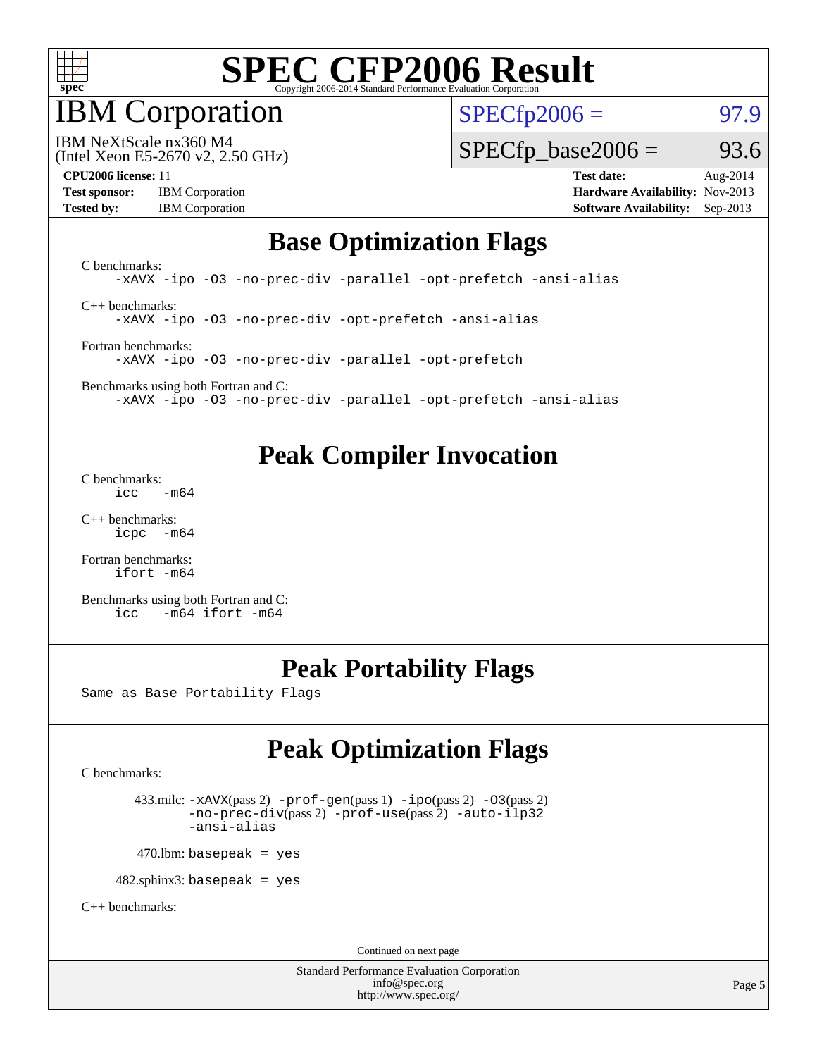

### IBM Corporation

 $SPECTp2006 = 97.9$ 

(Intel Xeon E5-2670 v2, 2.50 GHz) IBM NeXtScale nx360 M4

 $SPECTp\_base2006 = 93.6$ 

**[Test sponsor:](http://www.spec.org/auto/cpu2006/Docs/result-fields.html#Testsponsor)** IBM Corporation **[Hardware Availability:](http://www.spec.org/auto/cpu2006/Docs/result-fields.html#HardwareAvailability)** Nov-2013

**[CPU2006 license:](http://www.spec.org/auto/cpu2006/Docs/result-fields.html#CPU2006license)** 11 **[Test date:](http://www.spec.org/auto/cpu2006/Docs/result-fields.html#Testdate)** Aug-2014 **[Tested by:](http://www.spec.org/auto/cpu2006/Docs/result-fields.html#Testedby)** IBM Corporation **[Software Availability:](http://www.spec.org/auto/cpu2006/Docs/result-fields.html#SoftwareAvailability)** Sep-2013

### **[Base Optimization Flags](http://www.spec.org/auto/cpu2006/Docs/result-fields.html#BaseOptimizationFlags)**

[C benchmarks](http://www.spec.org/auto/cpu2006/Docs/result-fields.html#Cbenchmarks): [-xAVX](http://www.spec.org/cpu2006/results/res2014q3/cpu2006-20140824-31005.flags.html#user_CCbase_f-xAVX) [-ipo](http://www.spec.org/cpu2006/results/res2014q3/cpu2006-20140824-31005.flags.html#user_CCbase_f-ipo) [-O3](http://www.spec.org/cpu2006/results/res2014q3/cpu2006-20140824-31005.flags.html#user_CCbase_f-O3) [-no-prec-div](http://www.spec.org/cpu2006/results/res2014q3/cpu2006-20140824-31005.flags.html#user_CCbase_f-no-prec-div) [-parallel](http://www.spec.org/cpu2006/results/res2014q3/cpu2006-20140824-31005.flags.html#user_CCbase_f-parallel) [-opt-prefetch](http://www.spec.org/cpu2006/results/res2014q3/cpu2006-20140824-31005.flags.html#user_CCbase_f-opt-prefetch) [-ansi-alias](http://www.spec.org/cpu2006/results/res2014q3/cpu2006-20140824-31005.flags.html#user_CCbase_f-ansi-alias) [C++ benchmarks:](http://www.spec.org/auto/cpu2006/Docs/result-fields.html#CXXbenchmarks)

[-xAVX](http://www.spec.org/cpu2006/results/res2014q3/cpu2006-20140824-31005.flags.html#user_CXXbase_f-xAVX) [-ipo](http://www.spec.org/cpu2006/results/res2014q3/cpu2006-20140824-31005.flags.html#user_CXXbase_f-ipo) [-O3](http://www.spec.org/cpu2006/results/res2014q3/cpu2006-20140824-31005.flags.html#user_CXXbase_f-O3) [-no-prec-div](http://www.spec.org/cpu2006/results/res2014q3/cpu2006-20140824-31005.flags.html#user_CXXbase_f-no-prec-div) [-opt-prefetch](http://www.spec.org/cpu2006/results/res2014q3/cpu2006-20140824-31005.flags.html#user_CXXbase_f-opt-prefetch) [-ansi-alias](http://www.spec.org/cpu2006/results/res2014q3/cpu2006-20140824-31005.flags.html#user_CXXbase_f-ansi-alias)

[Fortran benchmarks](http://www.spec.org/auto/cpu2006/Docs/result-fields.html#Fortranbenchmarks): [-xAVX](http://www.spec.org/cpu2006/results/res2014q3/cpu2006-20140824-31005.flags.html#user_FCbase_f-xAVX) [-ipo](http://www.spec.org/cpu2006/results/res2014q3/cpu2006-20140824-31005.flags.html#user_FCbase_f-ipo) [-O3](http://www.spec.org/cpu2006/results/res2014q3/cpu2006-20140824-31005.flags.html#user_FCbase_f-O3) [-no-prec-div](http://www.spec.org/cpu2006/results/res2014q3/cpu2006-20140824-31005.flags.html#user_FCbase_f-no-prec-div) [-parallel](http://www.spec.org/cpu2006/results/res2014q3/cpu2006-20140824-31005.flags.html#user_FCbase_f-parallel) [-opt-prefetch](http://www.spec.org/cpu2006/results/res2014q3/cpu2006-20140824-31005.flags.html#user_FCbase_f-opt-prefetch)

[Benchmarks using both Fortran and C](http://www.spec.org/auto/cpu2006/Docs/result-fields.html#BenchmarksusingbothFortranandC): [-xAVX](http://www.spec.org/cpu2006/results/res2014q3/cpu2006-20140824-31005.flags.html#user_CC_FCbase_f-xAVX) [-ipo](http://www.spec.org/cpu2006/results/res2014q3/cpu2006-20140824-31005.flags.html#user_CC_FCbase_f-ipo) [-O3](http://www.spec.org/cpu2006/results/res2014q3/cpu2006-20140824-31005.flags.html#user_CC_FCbase_f-O3) [-no-prec-div](http://www.spec.org/cpu2006/results/res2014q3/cpu2006-20140824-31005.flags.html#user_CC_FCbase_f-no-prec-div) [-parallel](http://www.spec.org/cpu2006/results/res2014q3/cpu2006-20140824-31005.flags.html#user_CC_FCbase_f-parallel) [-opt-prefetch](http://www.spec.org/cpu2006/results/res2014q3/cpu2006-20140824-31005.flags.html#user_CC_FCbase_f-opt-prefetch) [-ansi-alias](http://www.spec.org/cpu2006/results/res2014q3/cpu2006-20140824-31005.flags.html#user_CC_FCbase_f-ansi-alias)

### **[Peak Compiler Invocation](http://www.spec.org/auto/cpu2006/Docs/result-fields.html#PeakCompilerInvocation)**

[C benchmarks](http://www.spec.org/auto/cpu2006/Docs/result-fields.html#Cbenchmarks):  $-m64$ 

[C++ benchmarks:](http://www.spec.org/auto/cpu2006/Docs/result-fields.html#CXXbenchmarks) [icpc -m64](http://www.spec.org/cpu2006/results/res2014q3/cpu2006-20140824-31005.flags.html#user_CXXpeak_intel_icpc_64bit_bedb90c1146cab66620883ef4f41a67e)

[Fortran benchmarks](http://www.spec.org/auto/cpu2006/Docs/result-fields.html#Fortranbenchmarks): [ifort -m64](http://www.spec.org/cpu2006/results/res2014q3/cpu2006-20140824-31005.flags.html#user_FCpeak_intel_ifort_64bit_ee9d0fb25645d0210d97eb0527dcc06e)

[Benchmarks using both Fortran and C](http://www.spec.org/auto/cpu2006/Docs/result-fields.html#BenchmarksusingbothFortranandC): [icc -m64](http://www.spec.org/cpu2006/results/res2014q3/cpu2006-20140824-31005.flags.html#user_CC_FCpeak_intel_icc_64bit_0b7121f5ab7cfabee23d88897260401c) [ifort -m64](http://www.spec.org/cpu2006/results/res2014q3/cpu2006-20140824-31005.flags.html#user_CC_FCpeak_intel_ifort_64bit_ee9d0fb25645d0210d97eb0527dcc06e)

### **[Peak Portability Flags](http://www.spec.org/auto/cpu2006/Docs/result-fields.html#PeakPortabilityFlags)**

Same as Base Portability Flags

## **[Peak Optimization Flags](http://www.spec.org/auto/cpu2006/Docs/result-fields.html#PeakOptimizationFlags)**

[C benchmarks](http://www.spec.org/auto/cpu2006/Docs/result-fields.html#Cbenchmarks):

 433.milc: [-xAVX](http://www.spec.org/cpu2006/results/res2014q3/cpu2006-20140824-31005.flags.html#user_peakPASS2_CFLAGSPASS2_LDFLAGS433_milc_f-xAVX)(pass 2) [-prof-gen](http://www.spec.org/cpu2006/results/res2014q3/cpu2006-20140824-31005.flags.html#user_peakPASS1_CFLAGSPASS1_LDFLAGS433_milc_prof_gen_e43856698f6ca7b7e442dfd80e94a8fc)(pass 1) [-ipo](http://www.spec.org/cpu2006/results/res2014q3/cpu2006-20140824-31005.flags.html#user_peakPASS2_CFLAGSPASS2_LDFLAGS433_milc_f-ipo)(pass 2) [-O3](http://www.spec.org/cpu2006/results/res2014q3/cpu2006-20140824-31005.flags.html#user_peakPASS2_CFLAGSPASS2_LDFLAGS433_milc_f-O3)(pass 2) [-no-prec-div](http://www.spec.org/cpu2006/results/res2014q3/cpu2006-20140824-31005.flags.html#user_peakPASS2_CFLAGSPASS2_LDFLAGS433_milc_f-no-prec-div)(pass 2) [-prof-use](http://www.spec.org/cpu2006/results/res2014q3/cpu2006-20140824-31005.flags.html#user_peakPASS2_CFLAGSPASS2_LDFLAGS433_milc_prof_use_bccf7792157ff70d64e32fe3e1250b55)(pass 2) [-auto-ilp32](http://www.spec.org/cpu2006/results/res2014q3/cpu2006-20140824-31005.flags.html#user_peakCOPTIMIZE433_milc_f-auto-ilp32) [-ansi-alias](http://www.spec.org/cpu2006/results/res2014q3/cpu2006-20140824-31005.flags.html#user_peakCOPTIMIZE433_milc_f-ansi-alias)

 $470$ .lbm: basepeak = yes

482.sphinx3: basepeak = yes

[C++ benchmarks:](http://www.spec.org/auto/cpu2006/Docs/result-fields.html#CXXbenchmarks)

Continued on next page

Standard Performance Evaluation Corporation [info@spec.org](mailto:info@spec.org) <http://www.spec.org/>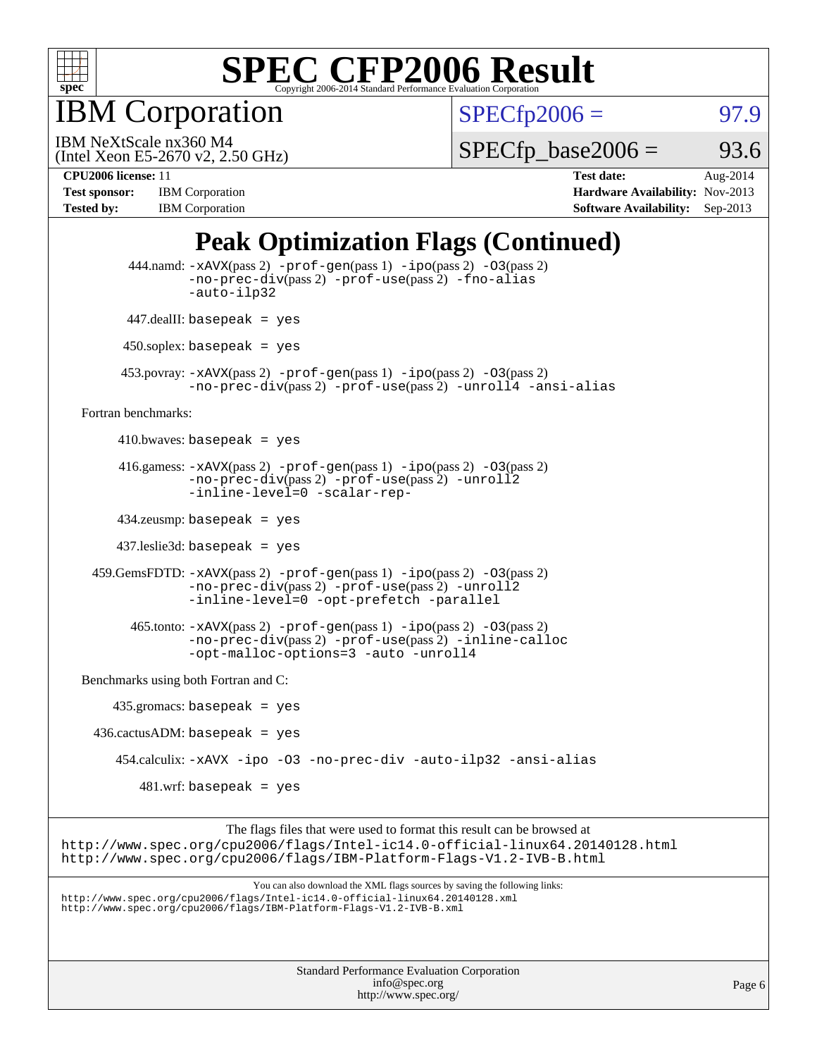

IBM Corporation

 $SPECfp2006 = 97.9$  $SPECfp2006 = 97.9$ 

(Intel Xeon E5-2670 v2, 2.50 GHz) IBM NeXtScale nx360 M4

 $SPECTp\_base2006 = 93.6$ 

**[CPU2006 license:](http://www.spec.org/auto/cpu2006/Docs/result-fields.html#CPU2006license)** 11 **[Test date:](http://www.spec.org/auto/cpu2006/Docs/result-fields.html#Testdate)** Aug-2014 **[Test sponsor:](http://www.spec.org/auto/cpu2006/Docs/result-fields.html#Testsponsor)** IBM Corporation **[Hardware Availability:](http://www.spec.org/auto/cpu2006/Docs/result-fields.html#HardwareAvailability)** Nov-2013 **[Tested by:](http://www.spec.org/auto/cpu2006/Docs/result-fields.html#Testedby)** IBM Corporation **[Software Availability:](http://www.spec.org/auto/cpu2006/Docs/result-fields.html#SoftwareAvailability)** Sep-2013

## **[Peak Optimization Flags \(Continued\)](http://www.spec.org/auto/cpu2006/Docs/result-fields.html#PeakOptimizationFlags)**

| Standard Performance Evaluation Corporation<br>info@spec.org                                                                                                                                                                      | Page 6 |
|-----------------------------------------------------------------------------------------------------------------------------------------------------------------------------------------------------------------------------------|--------|
|                                                                                                                                                                                                                                   |        |
| You can also download the XML flags sources by saving the following links:<br>http://www.spec.org/cpu2006/flags/Intel-ic14.0-official-linux64.20140128.xml<br>http://www.spec.org/cpu2006/flags/IBM-Platform-Flags-V1.2-IVB-B.xml |        |
| The flags files that were used to format this result can be browsed at<br>http://www.spec.org/cpu2006/flags/Intel-ic14.0-official-linux64.20140128.html<br>http://www.spec.org/cpu2006/flags/IBM-Platform-Flags-V1.2-IVB-B.html   |        |
| $481.wrf$ : basepeak = yes                                                                                                                                                                                                        |        |
| 454.calculix: -xAVX -ipo -03 -no-prec-div -auto-ilp32 -ansi-alias                                                                                                                                                                 |        |
| $436.cactusADM:basepeak = yes$                                                                                                                                                                                                    |        |
| $435.gromacs: basepeak = yes$                                                                                                                                                                                                     |        |
| Benchmarks using both Fortran and C:                                                                                                                                                                                              |        |
| $465$ .tonto: $-x$ AVX(pass 2) $-prof-gen(pass 1) -ipo(pass 2) -03(pass 2)$<br>-no-prec-div(pass 2) -prof-use(pass 2) -inline-calloc<br>-opt-malloc-options=3 -auto -unroll4                                                      |        |
| $459.GemsFDTD: -xAVX(pass 2) -prof-gen(pass 1) -ipo(pass 2) -O3(pass 2)$<br>-no-prec-div(pass 2) -prof-use(pass 2) -unroll2<br>-inline-level=0 -opt-prefetch -parallel                                                            |        |
| $437$ .leslie3d: basepeak = yes                                                                                                                                                                                                   |        |
| $434$ .zeusmp: basepeak = yes                                                                                                                                                                                                     |        |
| 416.gamess: $-x$ AVX(pass 2) $-prof-gen(pass 1) -ipo(pass 2) -O3(pass 2)$<br>-no-prec-div(pass 2) -prof-use(pass 2) -unroll2<br>-inline-level=0 -scalar-rep-                                                                      |        |
| 410.bwaves: basepeak = $yes$                                                                                                                                                                                                      |        |
| Fortran benchmarks:                                                                                                                                                                                                               |        |
| $453.$ povray: $-xAVX(pass 2)$ -prof-gen $(pass 1)$ -ipo $(pass 2)$ -03 $(pass 2)$<br>-no-prec-div(pass 2) -prof-use(pass 2) -unroll4 -ansi-alias                                                                                 |        |
| $450$ .soplex: basepeak = yes                                                                                                                                                                                                     |        |
| $447$ .dealII: basepeak = yes                                                                                                                                                                                                     |        |
| 444.namd: -xAVX(pass 2) -prof-gen(pass 1) -ipo(pass 2) -03(pass 2)<br>$-no\text{-}prec\text{-}div(pass 2)$ -prof-use(pass 2) -fno-alias<br>-auto-ilp32                                                                            |        |

<http://www.spec.org/>